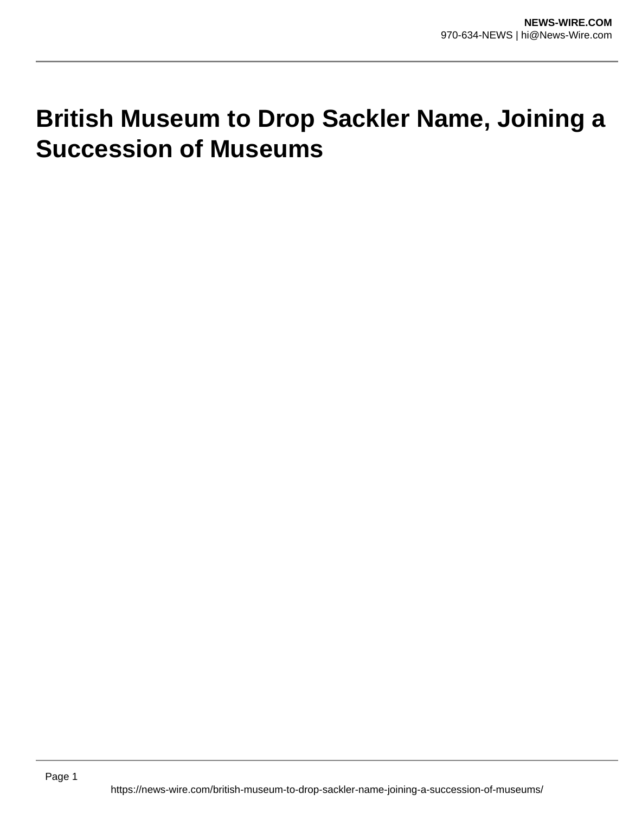## **British Museum to Drop Sackler Name, Joining a Succession of Museums**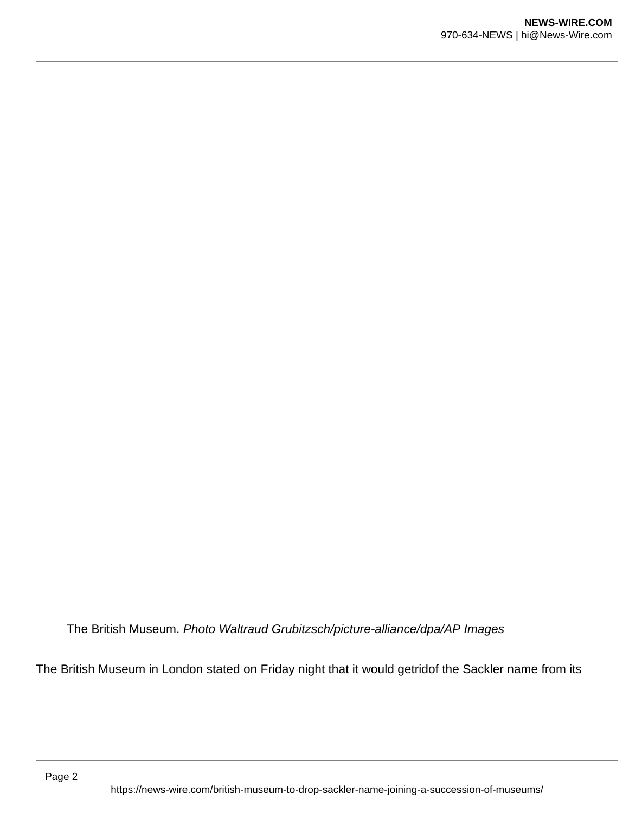The British Museum. Photo Waltraud Grubitzsch/picture-alliance/dpa/AP Images

The British Museum in London stated on Friday night that it would getridof the Sackler name from its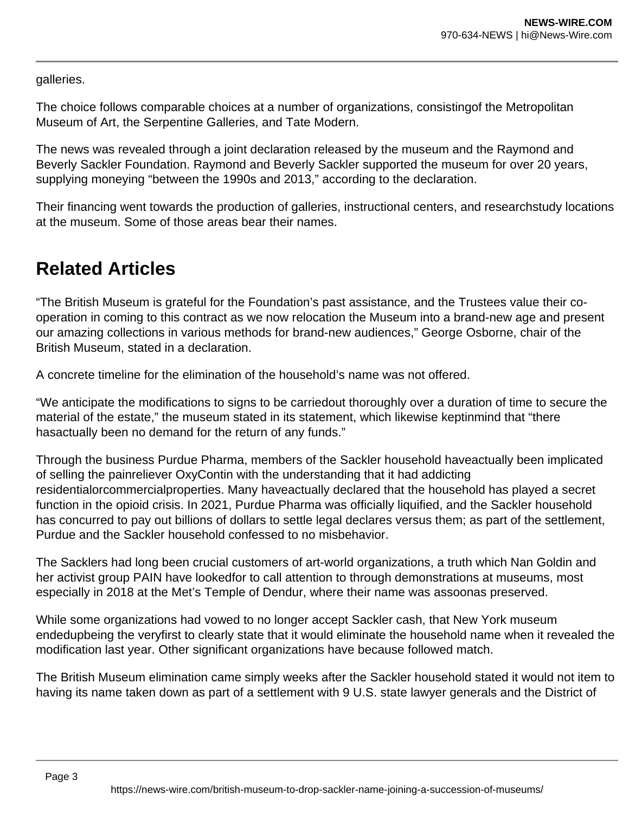galleries.

The choice follows comparable choices at a number of organizations, consistingof the Metropolitan Museum of Art, the Serpentine Galleries, and Tate Modern.

The news was revealed through a joint declaration released by the museum and the Raymond and Beverly Sackler Foundation. Raymond and Beverly Sackler supported the museum for over 20 years, supplying moneying "between the 1990s and 2013," according to the declaration.

Their financing went towards the production of galleries, instructional centers, and researchstudy locations at the museum. Some of those areas bear their names.

## **Related Articles**

"The British Museum is grateful for the Foundation's past assistance, and the Trustees value their cooperation in coming to this contract as we now relocation the Museum into a brand-new age and present our amazing collections in various methods for brand-new audiences," George Osborne, chair of the British Museum, stated in a declaration.

A concrete timeline for the elimination of the household's name was not offered.

"We anticipate the modifications to signs to be carriedout thoroughly over a duration of time to secure the material of the estate," the museum stated in its statement, which likewise keptinmind that "there hasactually been no demand for the return of any funds."

Through the business Purdue Pharma, members of the Sackler household haveactually been implicated of selling the painreliever OxyContin with the understanding that it had addicting residentialorcommercialproperties. Many haveactually declared that the household has played a secret function in the opioid crisis. In 2021, Purdue Pharma was officially liquified, and the Sackler household has concurred to pay out billions of dollars to settle legal declares versus them; as part of the settlement, Purdue and the Sackler household confessed to no misbehavior.

The Sacklers had long been crucial customers of art-world organizations, a truth which Nan Goldin and her activist group PAIN have lookedfor to call attention to through demonstrations at museums, most especially in 2018 at the Met's Temple of Dendur, where their name was assoonas preserved.

While some organizations had vowed to no longer accept Sackler cash, that New York museum endedupbeing the veryfirst to clearly state that it would eliminate the household name when it revealed the modification last year. Other significant organizations have because followed match.

The British Museum elimination came simply weeks after the Sackler household stated it would not item to having its name taken down as part of a settlement with 9 U.S. state lawyer generals and the District of